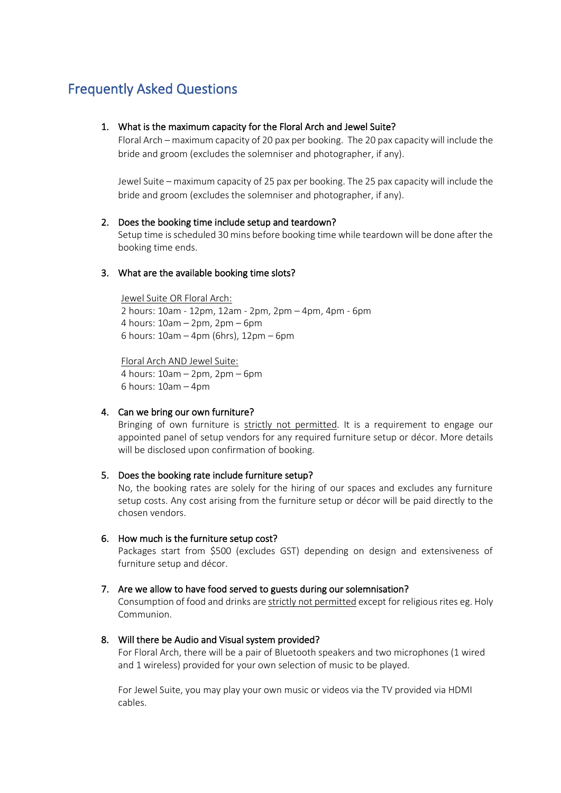# Frequently Asked Questions

## 1. What is the maximum capacity for the Floral Arch and Jewel Suite?

Floral Arch – maximum capacity of 20 pax per booking. The 20 pax capacity will include the bride and groom (excludes the solemniser and photographer, if any).

Jewel Suite – maximum capacity of 25 pax per booking. The 25 pax capacity will include the bride and groom (excludes the solemniser and photographer, if any).

## 2. Does the booking time include setup and teardown?

Setup time is scheduled 30 mins before booking time while teardown will be done after the booking time ends.

## 3. What are the available booking time slots?

Jewel Suite OR Floral Arch: 2 hours: 10am - 12pm, 12am - 2pm, 2pm – 4pm, 4pm - 6pm 4 hours: 10am – 2pm, 2pm – 6pm 6 hours: 10am – 4pm (6hrs), 12pm – 6pm

Floral Arch AND Jewel Suite: 4 hours: 10am – 2pm, 2pm – 6pm 6 hours: 10am – 4pm

## 4. Can we bring our own furniture?

Bringing of own furniture is strictly not permitted. It is a requirement to engage our appointed panel of setup vendors for any required furniture setup or décor. More details will be disclosed upon confirmation of booking.

#### 5. Does the booking rate include furniture setup?

No, the booking rates are solely for the hiring of our spaces and excludes any furniture setup costs. Any cost arising from the furniture setup or décor will be paid directly to the chosen vendors.

6. How much is the furniture setup cost?

Packages start from \$500 (excludes GST) depending on design and extensiveness of furniture setup and décor.

## 7. Are we allow to have food served to guests during our solemnisation?

Consumption of food and drinks are strictly not permitted except for religious rites eg. Holy Communion.

8. Will there be Audio and Visual system provided?

For Floral Arch, there will be a pair of Bluetooth speakers and two microphones (1 wired and 1 wireless) provided for your own selection of music to be played.

For Jewel Suite, you may play your own music or videos via the TV provided via HDMI cables.